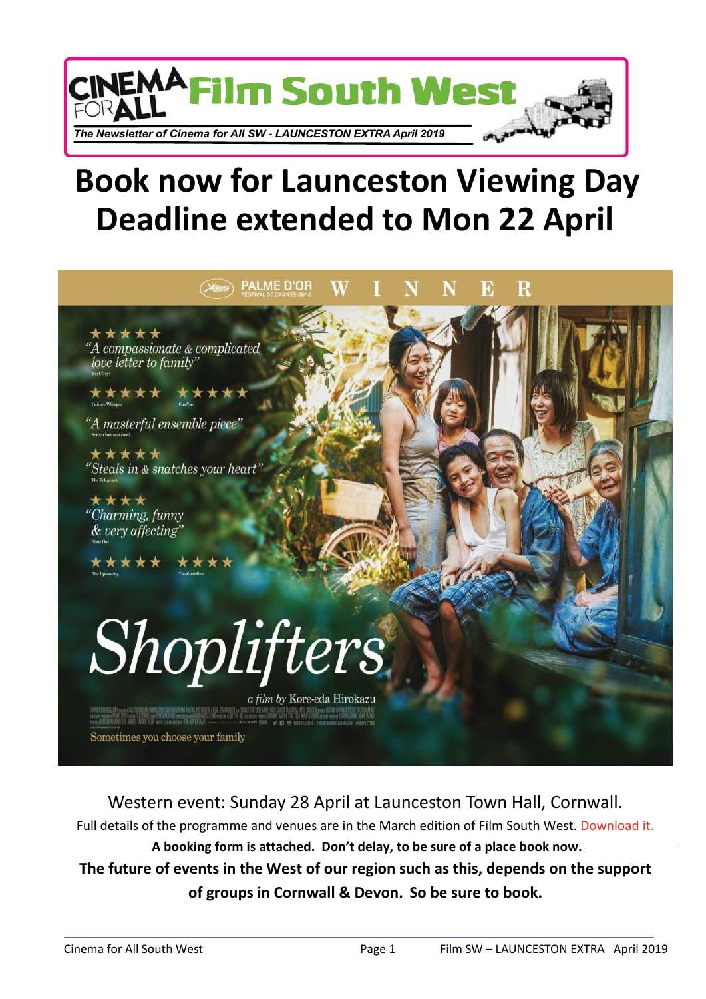

## **Book now for Launceston Viewing Day Deadline extended to Mon 22 April**



Western event: Sunday 28 April at Launceston Town Hall, Cornwall.

Full details of the programme and venues are in the March edition of Film South West. [Download it.](http://cinemaforallsw.org/wp-content/uploads/2019/03/CfA-SW-eNewsletter-2019-Mar.pdf) **A booking form is attached. Don't delay, to be sure of a place book now.**

**The future of events in the West of our region such as this, depends on the support of groups in Cornwall & Devon. So be sure to book.**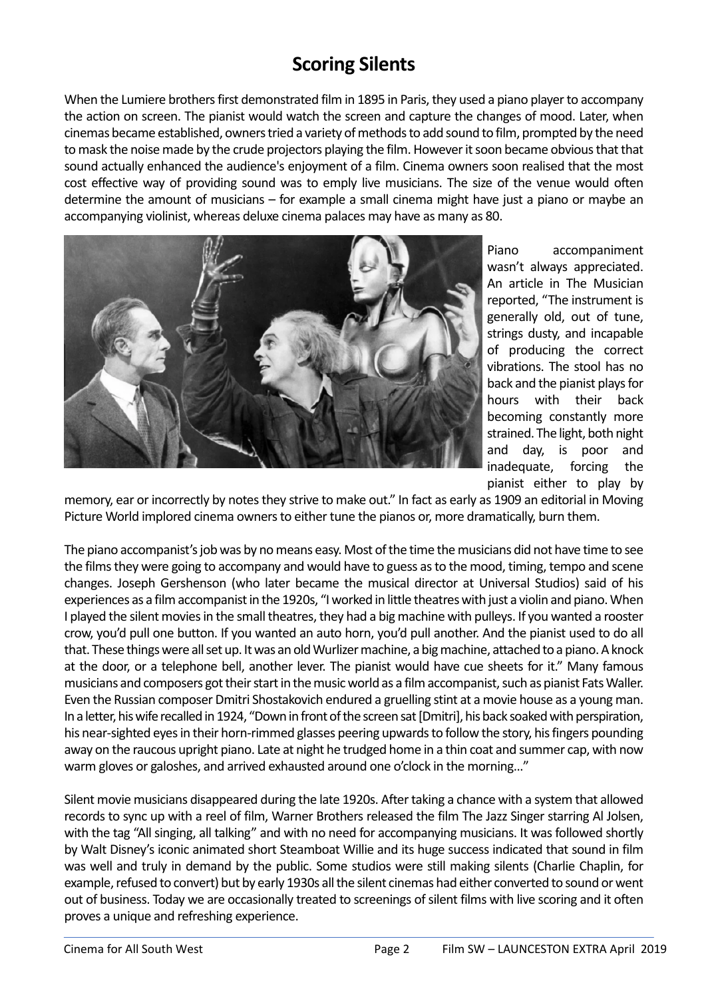## **Scoring Silents**

When the Lumiere brothers first demonstrated film in 1895 in Paris, they used a piano player to accompany the action on screen. The pianist would watch the screen and capture the changes of mood. Later, when cinemas became established, owners tried a variety of methods to add sound to film, prompted by the need to mask the noise made by the crude projectors playing the film. However it soon became obvious that that sound actually enhanced the audience's enjoyment of a film. Cinema owners soon realised that the most cost effective way of providing sound was to emply live musicians. The size of the venue would often determine the amount of musicians – for example a small cinema might have just a piano or maybe an accompanying violinist, whereas deluxe cinema palaces may have as many as 80.



Piano accompaniment wasn't always appreciated. An article in The Musician reported, "The instrument is generally old, out of tune, strings dusty, and incapable of producing the correct vibrations. The stool has no back and the pianist plays for hours with their back becoming constantly more strained. The light, both night and day, is poor and inadequate, forcing the pianist either to play by

memory, ear or incorrectly by notes they strive to make out." In fact as early as 1909 an editorial in Moving Picture World implored cinema owners to either tune the pianos or, more dramatically, burn them.

The piano accompanist's job was by no means easy. Most of the time the musicians did not have time to see the films they were going to accompany and would have to guess as to the mood, timing, tempo and scene changes. Joseph Gershenson (who later became the musical director at Universal Studios) said of his experiences as a film accompanist in the 1920s, "I worked in little theatres with just a violin and piano. When I played the silent movies in the small theatres, they had a big machine with pulleys. If you wanted a rooster crow, you'd pull one button. If you wanted an auto horn, you'd pull another. And the pianist used to do all that. These things were all set up. It was an old Wurlizer machine, a big machine, attached to a piano. A knock at the door, or a telephone bell, another lever. The pianist would have cue sheets for it." Many famous musicians and composers got their start in the music world as a film accompanist, such as pianist Fats Waller. Even the Russian composer Dmitri Shostakovich endured a gruelling stint at a movie house as a young man. In a letter, his wife recalled in 1924, "Down in front of the screen sat [Dmitri], his back soaked with perspiration, his near-sighted eyes in their horn-rimmed glasses peering upwards to follow the story, his fingers pounding away on the raucous upright piano. Late at night he trudged home in a thin coat and summer cap, with now warm gloves or galoshes, and arrived exhausted around one o'clock in the morning…"

Silent movie musicians disappeared during the late 1920s. After taking a chance with a system that allowed records to sync up with a reel of film, Warner Brothers released the film The Jazz Singer starring Al Jolsen, with the tag "All singing, all talking" and with no need for accompanying musicians. It was followed shortly by Walt Disney's iconic animated short Steamboat Willie and its huge success indicated that sound in film was well and truly in demand by the public. Some studios were still making silents (Charlie Chaplin, for example, refused to convert) but by early 1930s all the silent cinemas had either converted to sound or went out of business. Today we are occasionally treated to screenings of silent films with live scoring and it often proves a unique and refreshing experience.